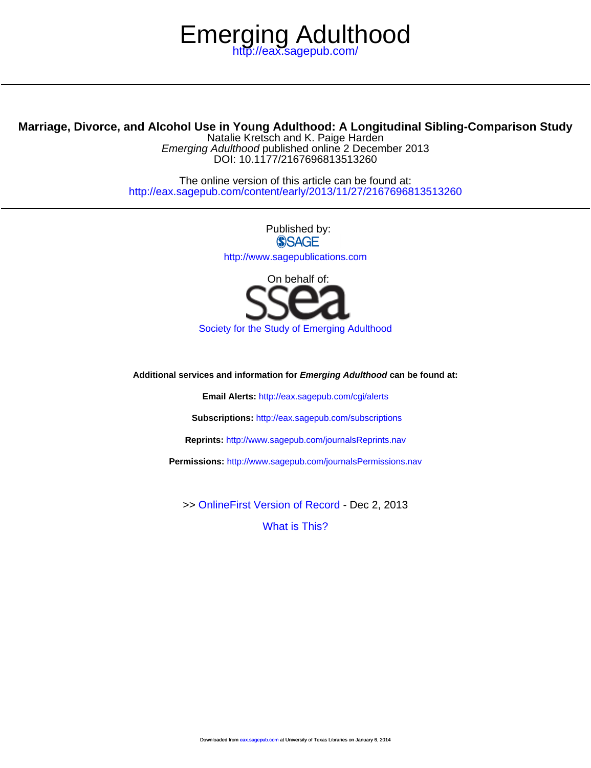# <http://eax.sagepub.com/> Emerging Adulthood

# Emerging Adulthood published online 2 December 2013 Nat[alie Kretsch and K. Paige Harden](http://www.sagepub.com/journalsPermissions.nav) **Marriage, Divorce, and Alcohol Use in Young Adulthood: A Longitudinal Sibling-Comparison Study**

DOI: 10.1177/2167696813513260

<http://eax.sagepub.com/content/early/2013/11/27/2167696813513260> The online version of this article can be found at:

> [Published by:](http://eax.sagepub.com/content/early/2013/11/27/2167696813513260.full.pdf) **SSAGE** <http://www.sagepublications.com>



[Society for the Study of Emerging Adulthood](http://www.ssea.org)

**Additional services and information for Emerging Adulthood can be found at:**

**Email Alerts:** <http://eax.sagepub.com/cgi/alerts>

**Subscriptions:** <http://eax.sagepub.com/subscriptions>

**Reprints:** <http://www.sagepub.com/journalsReprints.nav>

**Permissions:** <http://www.sagepub.com/journalsPermissions.nav>

[What is This?](http://online.sagepub.com/site/sphelp/vorhelp.xhtml) >> [OnlineFirst Version of Record -](http://eax.sagepub.com/content/early/2013/11/27/2167696813513260.full.pdf) Dec 2, 2013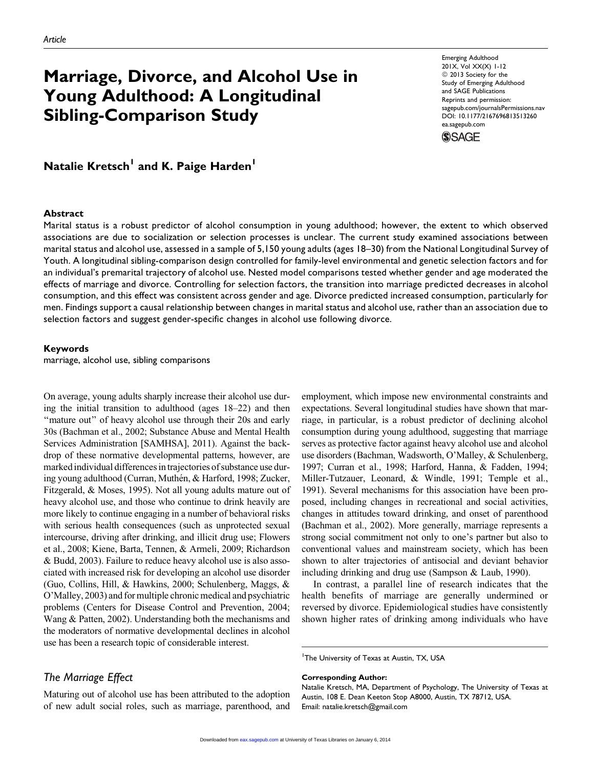# Marriage, Divorce, and Alcohol Use in Young Adulthood: A Longitudinal Sibling-Comparison Study

Emerging Adulthood 201X, Vol XX(X) 1-12  $@$  2013 Society for the Study of Emerging Adulthood and SAGE Publications Reprints and permission: [sagepub.com/journalsPermissions.nav](http://www.sagepub.com/journalsPermissions.nav) DOI: 10.1177/2167696813513260 [ea.sagepub.com](http://ea.sagepub.com)



# Natalie Kretsch<sup>1</sup> and K. Paige Harden<sup>1</sup>

#### Abstract

Marital status is a robust predictor of alcohol consumption in young adulthood; however, the extent to which observed associations are due to socialization or selection processes is unclear. The current study examined associations between marital status and alcohol use, assessed in a sample of 5,150 young adults (ages 18–30) from the National Longitudinal Survey of Youth. A longitudinal sibling-comparison design controlled for family-level environmental and genetic selection factors and for an individual's premarital trajectory of alcohol use. Nested model comparisons tested whether gender and age moderated the effects of marriage and divorce. Controlling for selection factors, the transition into marriage predicted decreases in alcohol consumption, and this effect was consistent across gender and age. Divorce predicted increased consumption, particularly for men. Findings support a causal relationship between changes in marital status and alcohol use, rather than an association due to selection factors and suggest gender-specific changes in alcohol use following divorce.

#### Keywords

marriage, alcohol use, sibling comparisons

On average, young adults sharply increase their alcohol use during the initial transition to adulthood (ages 18–22) and then ''mature out'' of heavy alcohol use through their 20s and early 30s (Bachman et al., 2002; Substance Abuse and Mental Health Services Administration [SAMHSA], 2011). Against the backdrop of these normative developmental patterns, however, are markedindividual differences intrajectories of substance use during young adulthood (Curran, Muthén, & Harford, 1998; Zucker, Fitzgerald, & Moses, 1995). Not all young adults mature out of heavy alcohol use, and those who continue to drink heavily are more likely to continue engaging in a number of behavioral risks with serious health consequences (such as unprotected sexual intercourse, driving after drinking, and illicit drug use; Flowers et al., 2008; Kiene, Barta, Tennen, & Armeli, 2009; Richardson & Budd, 2003). Failure to reduce heavy alcohol use is also associated with increased risk for developing an alcohol use disorder (Guo, Collins, Hill, & Hawkins, 2000; Schulenberg, Maggs, & O'Malley, 2003) and for multiple chronic medical and psychiatric problems (Centers for Disease Control and Prevention, 2004; Wang & Patten, 2002). Understanding both the mechanisms and the moderators of normative developmental declines in alcohol use has been a research topic of considerable interest.

employment, which impose new environmental constraints and expectations. Several longitudinal studies have shown that marriage, in particular, is a robust predictor of declining alcohol consumption during young adulthood, suggesting that marriage serves as protective factor against heavy alcohol use and alcohol use disorders (Bachman, Wadsworth, O'Malley, & Schulenberg, 1997; Curran et al., 1998; Harford, Hanna, & Fadden, 1994; Miller-Tutzauer, Leonard, & Windle, 1991; Temple et al., 1991). Several mechanisms for this association have been proposed, including changes in recreational and social activities, changes in attitudes toward drinking, and onset of parenthood (Bachman et al., 2002). More generally, marriage represents a strong social commitment not only to one's partner but also to conventional values and mainstream society, which has been shown to alter trajectories of antisocial and deviant behavior including drinking and drug use (Sampson & Laub, 1990).

In contrast, a parallel line of research indicates that the health benefits of marriage are generally undermined or reversed by divorce. Epidemiological studies have consistently shown higher rates of drinking among individuals who have

<sup>1</sup>The University of Texas at Austin, TX, USA

#### Corresponding Author:

Maturing out of alcohol use has been attributed to the adoption of new adult social roles, such as marriage, parenthood, and

The Marriage Effect

Natalie Kretsch, MA, Department of Psychology, The University of Texas at Austin, 108 E. Dean Keeton Stop A8000, Austin, TX 78712, USA. E[mail: natalie.kr](http://eax.sagepub.com/)etsch@gmail.com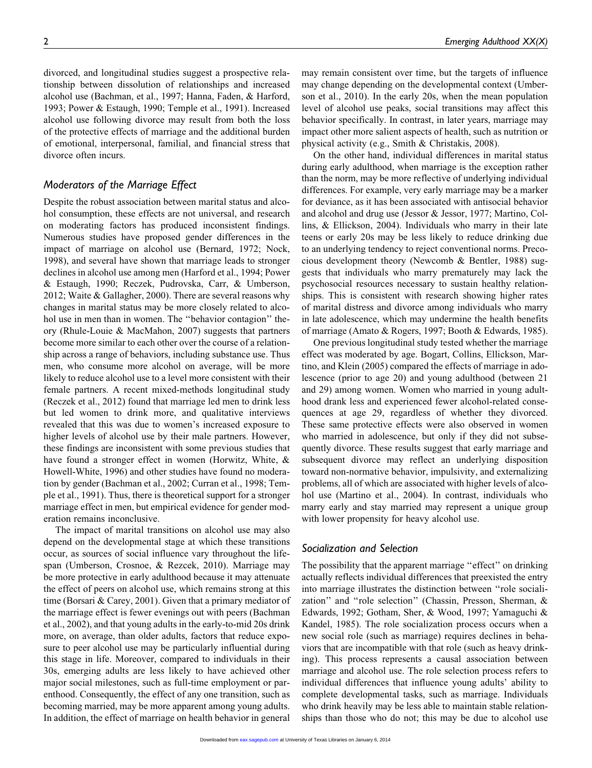divorced, and longitudinal studies suggest a prospective relationship between dissolution of relationships and increased alcohol use (Bachman, et al., 1997; Hanna, Faden, & Harford, 1993; Power & Estaugh, 1990; Temple et al., 1991). Increased alcohol use following divorce may result from both the loss of the protective effects of marriage and the additional burden of emotional, interpersonal, familial, and financial stress that divorce often incurs.

## Moderators of the Marriage Effect

Despite the robust association between marital status and alcohol consumption, these effects are not universal, and research on moderating factors has produced inconsistent findings. Numerous studies have proposed gender differences in the impact of marriage on alcohol use (Bernard, 1972; Nock, 1998), and several have shown that marriage leads to stronger declines in alcohol use among men (Harford et al., 1994; Power & Estaugh, 1990; Reczek, Pudrovska, Carr, & Umberson, 2012; Waite & Gallagher, 2000). There are several reasons why changes in marital status may be more closely related to alcohol use in men than in women. The "behavior contagion" theory (Rhule-Louie & MacMahon, 2007) suggests that partners become more similar to each other over the course of a relationship across a range of behaviors, including substance use. Thus men, who consume more alcohol on average, will be more likely to reduce alcohol use to a level more consistent with their female partners. A recent mixed-methods longitudinal study (Reczek et al., 2012) found that marriage led men to drink less but led women to drink more, and qualitative interviews revealed that this was due to women's increased exposure to higher levels of alcohol use by their male partners. However, these findings are inconsistent with some previous studies that have found a stronger effect in women (Horwitz, White, & Howell-White, 1996) and other studies have found no moderation by gender (Bachman et al., 2002; Curran et al., 1998; Temple et al., 1991). Thus, there is theoretical support for a stronger marriage effect in men, but empirical evidence for gender moderation remains inconclusive.

The impact of marital transitions on alcohol use may also depend on the developmental stage at which these transitions occur, as sources of social influence vary throughout the lifespan (Umberson, Crosnoe, & Rezcek, 2010). Marriage may be more protective in early adulthood because it may attenuate the effect of peers on alcohol use, which remains strong at this time (Borsari & Carey, 2001). Given that a primary mediator of the marriage effect is fewer evenings out with peers (Bachman et al., 2002), and that young adults in the early-to-mid 20s drink more, on average, than older adults, factors that reduce exposure to peer alcohol use may be particularly influential during this stage in life. Moreover, compared to individuals in their 30s, emerging adults are less likely to have achieved other major social milestones, such as full-time employment or parenthood. Consequently, the effect of any one transition, such as becoming married, may be more apparent among young adults. In addition, the effect of marriage on health behavior in general

may remain consistent over time, but the targets of influence may change depending on the developmental context (Umberson et al., 2010). In the early 20s, when the mean population level of alcohol use peaks, social transitions may affect this behavior specifically. In contrast, in later years, marriage may impact other more salient aspects of health, such as nutrition or physical activity (e.g., Smith & Christakis, 2008).

On the other hand, individual differences in marital status during early adulthood, when marriage is the exception rather than the norm, may be more reflective of underlying individual differences. For example, very early marriage may be a marker for deviance, as it has been associated with antisocial behavior and alcohol and drug use (Jessor & Jessor, 1977; Martino, Collins, & Ellickson, 2004). Individuals who marry in their late teens or early 20s may be less likely to reduce drinking due to an underlying tendency to reject conventional norms. Precocious development theory (Newcomb & Bentler, 1988) suggests that individuals who marry prematurely may lack the psychosocial resources necessary to sustain healthy relationships. This is consistent with research showing higher rates of marital distress and divorce among individuals who marry in late adolescence, which may undermine the health benefits of marriage (Amato & Rogers, 1997; Booth & Edwards, 1985).

One previous longitudinal study tested whether the marriage effect was moderated by age. Bogart, Collins, Ellickson, Martino, and Klein (2005) compared the effects of marriage in adolescence (prior to age 20) and young adulthood (between 21 and 29) among women. Women who married in young adulthood drank less and experienced fewer alcohol-related consequences at age 29, regardless of whether they divorced. These same protective effects were also observed in women who married in adolescence, but only if they did not subsequently divorce. These results suggest that early marriage and subsequent divorce may reflect an underlying disposition toward non-normative behavior, impulsivity, and externalizing problems, all of which are associated with higher levels of alcohol use (Martino et al., 2004). In contrast, individuals who marry early and stay married may represent a unique group with lower propensity for heavy alcohol use.

#### Socialization and Selection

The possibility that the apparent marriage ''effect'' on drinking actually reflects individual differences that preexisted the entry into marriage illustrates the distinction between ''role socialization'' and ''role selection'' (Chassin, Presson, Sherman, & Edwards, 1992; Gotham, Sher, & Wood, 1997; Yamaguchi & Kandel, 1985). The role socialization process occurs when a new social role (such as marriage) requires declines in behaviors that are incompatible with that role (such as heavy drinking). This process represents a causal association between marriage and alcohol use. The role selection process refers to individual differences that influence young adults' ability to complete developmental tasks, such as marriage. Individuals [who drink he](http://eax.sagepub.com/)avily may be less able to maintain stable relationships than those who do not; this may be due to alcohol use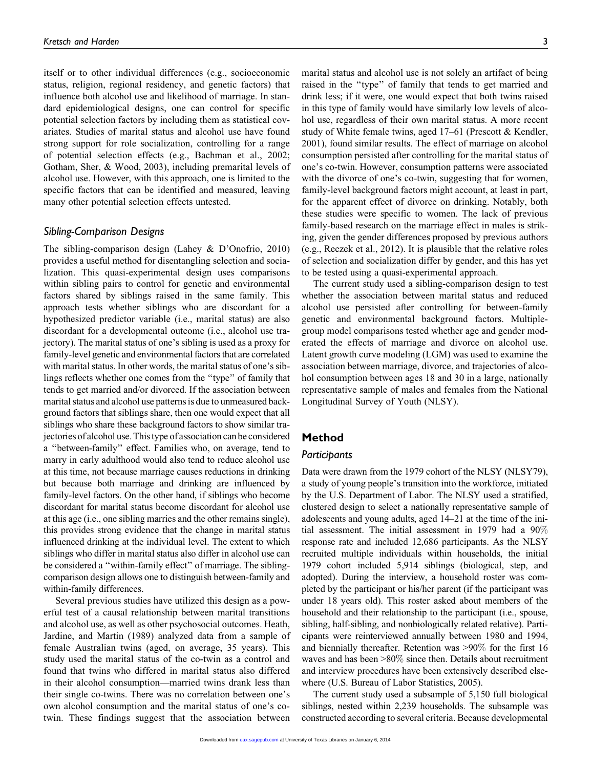itself or to other individual differences (e.g., socioeconomic status, religion, regional residency, and genetic factors) that influence both alcohol use and likelihood of marriage. In standard epidemiological designs, one can control for specific potential selection factors by including them as statistical covariates. Studies of marital status and alcohol use have found strong support for role socialization, controlling for a range of potential selection effects (e.g., Bachman et al., 2002; Gotham, Sher, & Wood, 2003), including premarital levels of alcohol use. However, with this approach, one is limited to the specific factors that can be identified and measured, leaving many other potential selection effects untested.

#### Sibling-Comparison Designs

The sibling-comparison design (Lahey & D'Onofrio, 2010) provides a useful method for disentangling selection and socialization. This quasi-experimental design uses comparisons within sibling pairs to control for genetic and environmental factors shared by siblings raised in the same family. This approach tests whether siblings who are discordant for a hypothesized predictor variable (i.e., marital status) are also discordant for a developmental outcome (i.e., alcohol use trajectory). The marital status of one's sibling is used as a proxy for family-level genetic and environmental factors that are correlated with marital status. In other words, the marital status of one's siblings reflects whether one comes from the ''type'' of family that tends to get married and/or divorced. If the association between marital status and alcohol use patterns is due to unmeasured background factors that siblings share, then one would expect that all siblings who share these background factors to show similar trajectories of alcohol use. This type of association can be considered a ''between-family'' effect. Families who, on average, tend to marry in early adulthood would also tend to reduce alcohol use at this time, not because marriage causes reductions in drinking but because both marriage and drinking are influenced by family-level factors. On the other hand, if siblings who become discordant for marital status become discordant for alcohol use at this age (i.e., one sibling marries and the other remains single), this provides strong evidence that the change in marital status influenced drinking at the individual level. The extent to which siblings who differ in marital status also differ in alcohol use can be considered a ''within-family effect'' of marriage. The siblingcomparison design allows one to distinguish between-family and within-family differences.

Several previous studies have utilized this design as a powerful test of a causal relationship between marital transitions and alcohol use, as well as other psychosocial outcomes. Heath, Jardine, and Martin (1989) analyzed data from a sample of female Australian twins (aged, on average, 35 years). This study used the marital status of the co-twin as a control and found that twins who differed in marital status also differed in their alcohol consumption—married twins drank less than their single co-twins. There was no correlation between one's own alcohol consumption and the marital status of one's cotwin. These findings suggest that the association between

marital status and alcohol use is not solely an artifact of being raised in the ''type'' of family that tends to get married and drink less; if it were, one would expect that both twins raised in this type of family would have similarly low levels of alcohol use, regardless of their own marital status. A more recent study of White female twins, aged 17–61 (Prescott & Kendler, 2001), found similar results. The effect of marriage on alcohol consumption persisted after controlling for the marital status of one's co-twin. However, consumption patterns were associated with the divorce of one's co-twin, suggesting that for women, family-level background factors might account, at least in part, for the apparent effect of divorce on drinking. Notably, both these studies were specific to women. The lack of previous family-based research on the marriage effect in males is striking, given the gender differences proposed by previous authors (e.g., Reczek et al., 2012). It is plausible that the relative roles of selection and socialization differ by gender, and this has yet to be tested using a quasi-experimental approach.

The current study used a sibling-comparison design to test whether the association between marital status and reduced alcohol use persisted after controlling for between-family genetic and environmental background factors. Multiplegroup model comparisons tested whether age and gender moderated the effects of marriage and divorce on alcohol use. Latent growth curve modeling (LGM) was used to examine the association between marriage, divorce, and trajectories of alcohol consumption between ages 18 and 30 in a large, nationally representative sample of males and females from the National Longitudinal Survey of Youth (NLSY).

# Method

#### Participants

Data were drawn from the 1979 cohort of the NLSY (NLSY79), a study of young people's transition into the workforce, initiated by the U.S. Department of Labor. The NLSY used a stratified, clustered design to select a nationally representative sample of adolescents and young adults, aged 14–21 at the time of the initial assessment. The initial assessment in 1979 had a 90% response rate and included 12,686 participants. As the NLSY recruited multiple individuals within households, the initial 1979 cohort included 5,914 siblings (biological, step, and adopted). During the interview, a household roster was completed by the participant or his/her parent (if the participant was under 18 years old). This roster asked about members of the household and their relationship to the participant (i.e., spouse, sibling, half-sibling, and nonbiologically related relative). Participants were reinterviewed annually between 1980 and 1994, and biennially thereafter. Retention was >90% for the first 16 waves and has been >80% since then. Details about recruitment and interview procedures have been extensively described elsewhere (U.S. Bureau of Labor Statistics, 2005).

The current study used a subsample of 5,150 full biological s[iblings, nest](http://eax.sagepub.com/)ed within 2,239 households. The subsample was constructed according to several criteria. Because developmental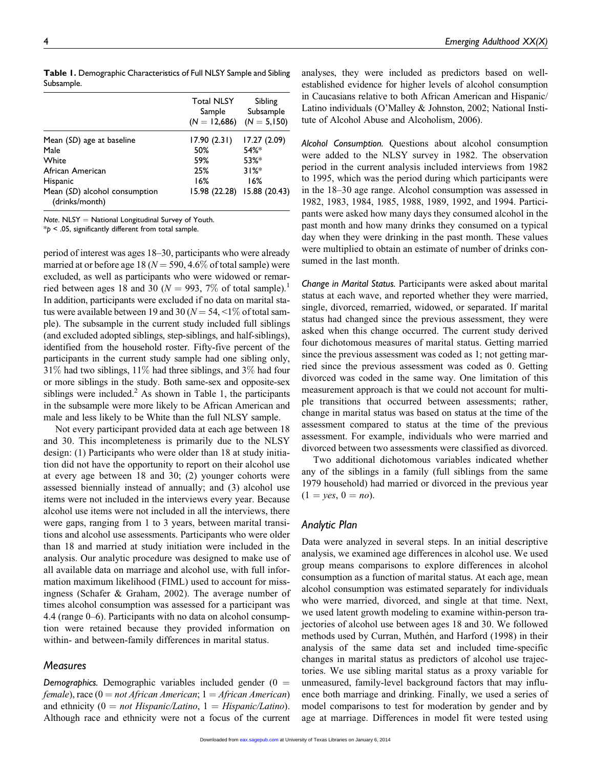|                                                 | <b>Total NLSY</b><br>Sample<br>$(N = 12,686)$ | Sibling<br>Subsample<br>$(N = 5,150)$ |
|-------------------------------------------------|-----------------------------------------------|---------------------------------------|
| Mean (SD) age at baseline                       | 17.90(2.31)                                   | 17.27 (2.09)                          |
| Male                                            | 50%                                           | 54%*                                  |
| White                                           | 59%                                           | 53%*                                  |
| African American                                | 25%                                           | 31%                                   |
| Hispanic                                        | 16%                                           | 16%                                   |
| Mean (SD) alcohol consumption<br>(drinks/month) | 15.98 (22.28)                                 | 15.88 (20.43)                         |

Table 1. Demographic Characteristics of Full NLSY Sample and Sibling Subsample.

Note.  $NLSY = National Longitudinal Survey of Youth.$ 

 $*$ p < .05, significantly different from total sample.

period of interest was ages 18–30, participants who were already married at or before age 18 ( $N = 590, 4.6\%$  of total sample) were excluded, as well as participants who were widowed or remarried between ages 18 and 30 ( $N = 993, 7\%$  of total sample).<sup>1</sup> In addition, participants were excluded if no data on marital status were available between 19 and 30 ( $N = 54$ , <1\% of total sample). The subsample in the current study included full siblings (and excluded adopted siblings, step-siblings, and half-siblings), identified from the household roster. Fifty-five percent of the participants in the current study sample had one sibling only, 31% had two siblings, 11% had three siblings, and 3% had four or more siblings in the study. Both same-sex and opposite-sex siblings were included.<sup>2</sup> As shown in Table 1, the participants in the subsample were more likely to be African American and male and less likely to be White than the full NLSY sample.

Not every participant provided data at each age between 18 and 30. This incompleteness is primarily due to the NLSY design: (1) Participants who were older than 18 at study initiation did not have the opportunity to report on their alcohol use at every age between 18 and 30; (2) younger cohorts were assessed biennially instead of annually; and (3) alcohol use items were not included in the interviews every year. Because alcohol use items were not included in all the interviews, there were gaps, ranging from 1 to 3 years, between marital transitions and alcohol use assessments. Participants who were older than 18 and married at study initiation were included in the analysis. Our analytic procedure was designed to make use of all available data on marriage and alcohol use, with full information maximum likelihood (FIML) used to account for missingness (Schafer & Graham, 2002). The average number of times alcohol consumption was assessed for a participant was 4.4 (range 0–6). Participants with no data on alcohol consumption were retained because they provided information on within- and between-family differences in marital status.

#### **Measures**

Demographics. Demographic variables included gender  $(0 =$ female), race ( $0 = not African American; 1 = African American)$ and ethnicity ( $0 = not Hispanic/Latino$ ,  $1 = Hispanic/Latino$ ). Although race and ethnicity were not a focus of the current analyses, they were included as predictors based on wellestablished evidence for higher levels of alcohol consumption in Caucasians relative to both African American and Hispanic/ Latino individuals (O'Malley & Johnston, 2002; National Institute of Alcohol Abuse and Alcoholism, 2006).

Alcohol Consumption. Questions about alcohol consumption were added to the NLSY survey in 1982. The observation period in the current analysis included interviews from 1982 to 1995, which was the period during which participants were in the 18–30 age range. Alcohol consumption was assessed in 1982, 1983, 1984, 1985, 1988, 1989, 1992, and 1994. Participants were asked how many days they consumed alcohol in the past month and how many drinks they consumed on a typical day when they were drinking in the past month. These values were multiplied to obtain an estimate of number of drinks consumed in the last month.

Change in Marital Status. Participants were asked about marital status at each wave, and reported whether they were married, single, divorced, remarried, widowed, or separated. If marital status had changed since the previous assessment, they were asked when this change occurred. The current study derived four dichotomous measures of marital status. Getting married since the previous assessment was coded as 1; not getting married since the previous assessment was coded as 0. Getting divorced was coded in the same way. One limitation of this measurement approach is that we could not account for multiple transitions that occurred between assessments; rather, change in marital status was based on status at the time of the assessment compared to status at the time of the previous assessment. For example, individuals who were married and divorced between two assessments were classified as divorced.

Two additional dichotomous variables indicated whether any of the siblings in a family (full siblings from the same 1979 household) had married or divorced in the previous year  $(1 = yes, 0 = no).$ 

#### Analytic Plan

Data were analyzed in several steps. In an initial descriptive analysis, we examined age differences in alcohol use. We used group means comparisons to explore differences in alcohol consumption as a function of marital status. At each age, mean alcohol consumption was estimated separately for individuals who were married, divorced, and single at that time. Next, we used latent growth modeling to examine within-person trajectories of alcohol use between ages 18 and 30. We followed methods used by Curran, Muthén, and Harford (1998) in their analysis of the same data set and included time-specific changes in marital status as predictors of alcohol use trajectories. We use sibling marital status as a proxy variable for unmeasured, family-level background factors that may influence both marriage and drinking. Finally, we used a series of [model comp](http://eax.sagepub.com/)arisons to test for moderation by gender and by age at marriage. Differences in model fit were tested using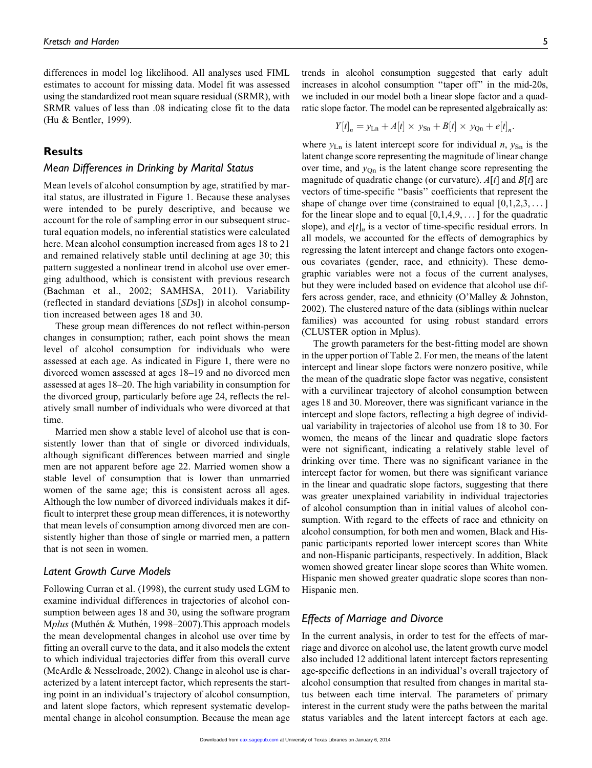differences in model log likelihood. All analyses used FIML estimates to account for missing data. Model fit was assessed using the standardized root mean square residual (SRMR), with SRMR values of less than .08 indicating close fit to the data (Hu & Bentler, 1999).

## **Results**

#### Mean Differences in Drinking by Marital Status

Mean levels of alcohol consumption by age, stratified by marital status, are illustrated in Figure 1. Because these analyses were intended to be purely descriptive, and because we account for the role of sampling error in our subsequent structural equation models, no inferential statistics were calculated here. Mean alcohol consumption increased from ages 18 to 21 and remained relatively stable until declining at age 30; this pattern suggested a nonlinear trend in alcohol use over emerging adulthood, which is consistent with previous research (Bachman et al., 2002; SAMHSA, 2011). Variability (reflected in standard deviations [SDs]) in alcohol consumption increased between ages 18 and 30.

These group mean differences do not reflect within-person changes in consumption; rather, each point shows the mean level of alcohol consumption for individuals who were assessed at each age. As indicated in Figure 1, there were no divorced women assessed at ages 18–19 and no divorced men assessed at ages 18–20. The high variability in consumption for the divorced group, particularly before age 24, reflects the relatively small number of individuals who were divorced at that time.

Married men show a stable level of alcohol use that is consistently lower than that of single or divorced individuals, although significant differences between married and single men are not apparent before age 22. Married women show a stable level of consumption that is lower than unmarried women of the same age; this is consistent across all ages. Although the low number of divorced individuals makes it difficult to interpret these group mean differences, it is noteworthy that mean levels of consumption among divorced men are consistently higher than those of single or married men, a pattern that is not seen in women.

#### Latent Growth Curve Models

Following Curran et al. (1998), the current study used LGM to examine individual differences in trajectories of alcohol consumption between ages 18 and 30, using the software program Mplus (Muthén & Muthén, 1998–2007). This approach models the mean developmental changes in alcohol use over time by fitting an overall curve to the data, and it also models the extent to which individual trajectories differ from this overall curve (McArdle & Nesselroade, 2002). Change in alcohol use is characterized by a latent intercept factor, which represents the starting point in an individual's trajectory of alcohol consumption, and latent slope factors, which represent systematic developmental change in alcohol consumption. Because the mean age

trends in alcohol consumption suggested that early adult increases in alcohol consumption ''taper off'' in the mid-20s, we included in our model both a linear slope factor and a quadratic slope factor. The model can be represented algebraically as:

$$
Y[t]_n = y_{\text{Ln}} + A[t] \times y_{\text{Sn}} + B[t] \times y_{\text{Qn}} + e[t]_n.
$$

where  $y_{\text{Ln}}$  is latent intercept score for individual *n*,  $y_{\text{Sn}}$  is the latent change score representing the magnitude of linear change over time, and  $y_{\text{On}}$  is the latent change score representing the magnitude of quadratic change (or curvature).  $A[t]$  and  $B[t]$  are vectors of time-specific ''basis'' coefficients that represent the shape of change over time (constrained to equal  $[0,1,2,3,...]$ for the linear slope and to equal  $[0,1,4,9,...]$  for the quadratic slope), and  $e[t]_n$  is a vector of time-specific residual errors. In all models, we accounted for the effects of demographics by regressing the latent intercept and change factors onto exogenous covariates (gender, race, and ethnicity). These demographic variables were not a focus of the current analyses, but they were included based on evidence that alcohol use differs across gender, race, and ethnicity (O'Malley & Johnston, 2002). The clustered nature of the data (siblings within nuclear families) was accounted for using robust standard errors (CLUSTER option in Mplus).

The growth parameters for the best-fitting model are shown in the upper portion of Table 2. For men, the means of the latent intercept and linear slope factors were nonzero positive, while the mean of the quadratic slope factor was negative, consistent with a curvilinear trajectory of alcohol consumption between ages 18 and 30. Moreover, there was significant variance in the intercept and slope factors, reflecting a high degree of individual variability in trajectories of alcohol use from 18 to 30. For women, the means of the linear and quadratic slope factors were not significant, indicating a relatively stable level of drinking over time. There was no significant variance in the intercept factor for women, but there was significant variance in the linear and quadratic slope factors, suggesting that there was greater unexplained variability in individual trajectories of alcohol consumption than in initial values of alcohol consumption. With regard to the effects of race and ethnicity on alcohol consumption, for both men and women, Black and Hispanic participants reported lower intercept scores than White and non-Hispanic participants, respectively. In addition, Black women showed greater linear slope scores than White women. Hispanic men showed greater quadratic slope scores than non-Hispanic men.

# Effects of Marriage and Divorce

In the current analysis, in order to test for the effects of marriage and divorce on alcohol use, the latent growth curve model also included 12 additional latent intercept factors representing age-specific deflections in an individual's overall trajectory of alcohol consumption that resulted from changes in marital status between each time interval. The parameters of primary i[nterest in the](http://eax.sagepub.com/) current study were the paths between the marital status variables and the latent intercept factors at each age.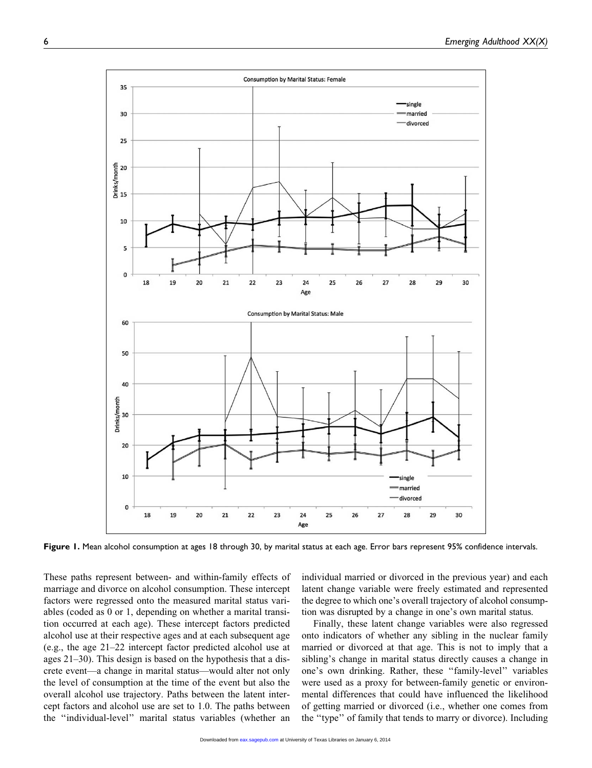

Figure 1. Mean alcohol consumption at ages 18 through 30, by marital status at each age. Error bars represent 95% confidence intervals.

These paths represent between- and within-family effects of marriage and divorce on alcohol consumption. These intercept factors were regressed onto the measured marital status variables (coded as 0 or 1, depending on whether a marital transition occurred at each age). These intercept factors predicted alcohol use at their respective ages and at each subsequent age (e.g., the age 21–22 intercept factor predicted alcohol use at ages 21–30). This design is based on the hypothesis that a discrete event—a change in marital status—would alter not only the level of consumption at the time of the event but also the overall alcohol use trajectory. Paths between the latent intercept factors and alcohol use are set to 1.0. The paths between the ''individual-level'' marital status variables (whether an

individual married or divorced in the previous year) and each latent change variable were freely estimated and represented the degree to which one's overall trajectory of alcohol consumption was disrupted by a change in one's own marital status.

Finally, these latent change variables were also regressed onto indicators of whether any sibling in the nuclear family married or divorced at that age. This is not to imply that a sibling's change in marital status directly causes a change in one's own drinking. Rather, these ''family-level'' variables were used as a proxy for between-family genetic or environmental differences that could have influenced the likelihood o[f getting m](http://eax.sagepub.com/)arried or divorced (i.e., whether one comes from the ''type'' of family that tends to marry or divorce). Including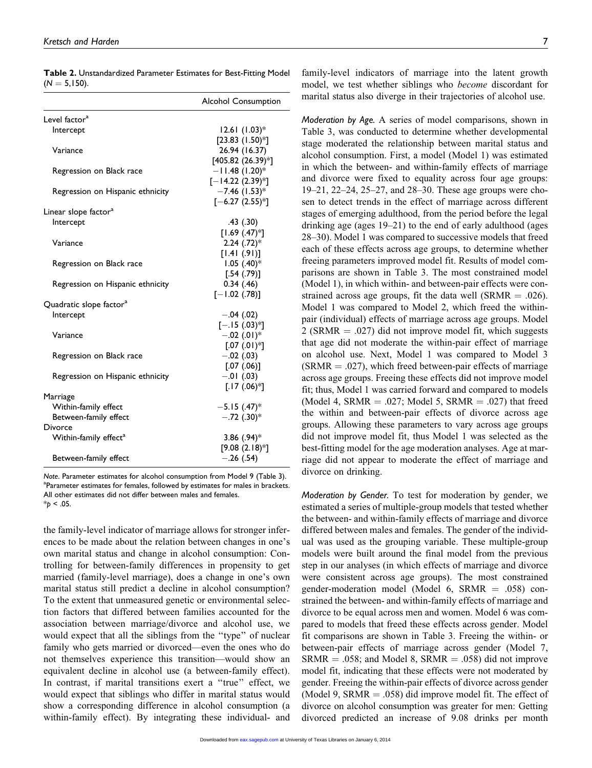|                                     | <b>Alcohol Consumption</b>      |
|-------------------------------------|---------------------------------|
| Level factor <sup>a</sup>           |                                 |
| Intercept                           | 12.61 (1.03)*                   |
|                                     | $[23.83 (1.50)^*]$              |
| Variance                            | 26.94 (16.37)                   |
|                                     | $[405.82 (26.39)*]$             |
| Regression on Black race            | $-11.48$ (1.20) <sup>*</sup>    |
|                                     | $[-14.22 (2.39)$ <sup>*</sup> ] |
| Regression on Hispanic ethnicity    | $-7.46$ (1.53) <sup>*</sup>     |
|                                     | $[-6.27 (2.55)*]$               |
| Linear slope factor <sup>a</sup>    |                                 |
| Intercept                           | .43 (.30)                       |
|                                     | $[1.69 (.47)*]$                 |
| Variance                            | $2.24$ $(.72)*$                 |
|                                     | [1.41 (.91)]                    |
| Regression on Black race            | $1.05$ $(.40)$ <sup>*</sup>     |
|                                     | [.54 (.79)]                     |
| Regression on Hispanic ethnicity    | 0.34(0.46)                      |
|                                     | $[-1.02 \,(.78)]$               |
| Quadratic slope factor <sup>a</sup> |                                 |
| Intercept                           | $-.04(.02)$                     |
|                                     | $[-.15(.03)*]$                  |
| Variance                            | $-.02$ (.01) <sup>*</sup>       |
|                                     | $[.07 (.01)*]$                  |
| Regression on Black race            | $-.02(.03)$                     |
|                                     | [.07, .06]                      |
| Regression on Hispanic ethnicity    | $-.01$ (.03)                    |
|                                     | $[.17 (.06)*]$                  |
| Marriage                            |                                 |
| Within-family effect                | $-5.15$ (.47) <sup>*</sup>      |
| Between-family effect               | $-.72$ (.30)*                   |
| Divorce                             |                                 |
| Within-family effect <sup>a</sup>   | 3.86 $(.94)$ <sup>*</sup>       |
|                                     | $[9.08 (2.18)*]$                |
| Between-family effect               | $-.26(.54)$                     |

Table 2. Unstandardized Parameter Estimates for Best-Fitting Model  $(N = 5,150)$ 

Note. Parameter estimates for alcohol consumption from Model 9 (Table 3). <sup>a</sup>Parameter estimates for females, followed by estimates for males in brackets. All other estimates did not differ between males and females.  $*_{p}$  < .05.

the family-level indicator of marriage allows for stronger inferences to be made about the relation between changes in one's own marital status and change in alcohol consumption: Controlling for between-family differences in propensity to get married (family-level marriage), does a change in one's own marital status still predict a decline in alcohol consumption? To the extent that unmeasured genetic or environmental selection factors that differed between families accounted for the association between marriage/divorce and alcohol use, we would expect that all the siblings from the ''type'' of nuclear family who gets married or divorced—even the ones who do not themselves experience this transition—would show an equivalent decline in alcohol use (a between-family effect). In contrast, if marital transitions exert a ''true'' effect, we would expect that siblings who differ in marital status would show a corresponding difference in alcohol consumption (a within-family effect). By integrating these individual- and

family-level indicators of marriage into the latent growth model, we test whether siblings who become discordant for marital status also diverge in their trajectories of alcohol use.

Moderation by Age. A series of model comparisons, shown in Table 3, was conducted to determine whether developmental stage moderated the relationship between marital status and alcohol consumption. First, a model (Model 1) was estimated in which the between- and within-family effects of marriage and divorce were fixed to equality across four age groups: 19–21, 22–24, 25–27, and 28–30. These age groups were chosen to detect trends in the effect of marriage across different stages of emerging adulthood, from the period before the legal drinking age (ages 19–21) to the end of early adulthood (ages 28–30). Model 1 was compared to successive models that freed each of these effects across age groups, to determine whether freeing parameters improved model fit. Results of model comparisons are shown in Table 3. The most constrained model (Model 1), in which within- and between-pair effects were constrained across age groups, fit the data well (SRMR  $= .026$ ). Model 1 was compared to Model 2, which freed the withinpair (individual) effects of marriage across age groups. Model 2 (SRMR  $= .027$ ) did not improve model fit, which suggests that age did not moderate the within-pair effect of marriage on alcohol use. Next, Model 1 was compared to Model 3  $(SRMR = .027)$ , which freed between-pair effects of marriage across age groups. Freeing these effects did not improve model fit; thus, Model 1 was carried forward and compared to models (Model 4, SRMR  $= .027$ ; Model 5, SRMR  $= .027$ ) that freed the within and between-pair effects of divorce across age groups. Allowing these parameters to vary across age groups did not improve model fit, thus Model 1 was selected as the best-fitting model for the age moderation analyses. Age at marriage did not appear to moderate the effect of marriage and divorce on drinking.

Moderation by Gender. To test for moderation by gender, we estimated a series of multiple-group models that tested whether the between- and within-family effects of marriage and divorce differed between males and females. The gender of the individual was used as the grouping variable. These multiple-group models were built around the final model from the previous step in our analyses (in which effects of marriage and divorce were consistent across age groups). The most constrained gender-moderation model (Model 6, SRMR  $= .058$ ) constrained the between- and within-family effects of marriage and divorce to be equal across men and women. Model 6 was compared to models that freed these effects across gender. Model fit comparisons are shown in Table 3. Freeing the within- or between-pair effects of marriage across gender (Model 7,  $SRMR = .058$ ; and Model 8,  $SRMR = .058$ ) did not improve model fit, indicating that these effects were not moderated by gender. Freeing the within-pair effects of divorce across gender (Model 9, SRMR  $= .058$ ) did improve model fit. The effect of d[ivorce on a](http://eax.sagepub.com/)lcohol consumption was greater for men: Getting divorced predicted an increase of 9.08 drinks per month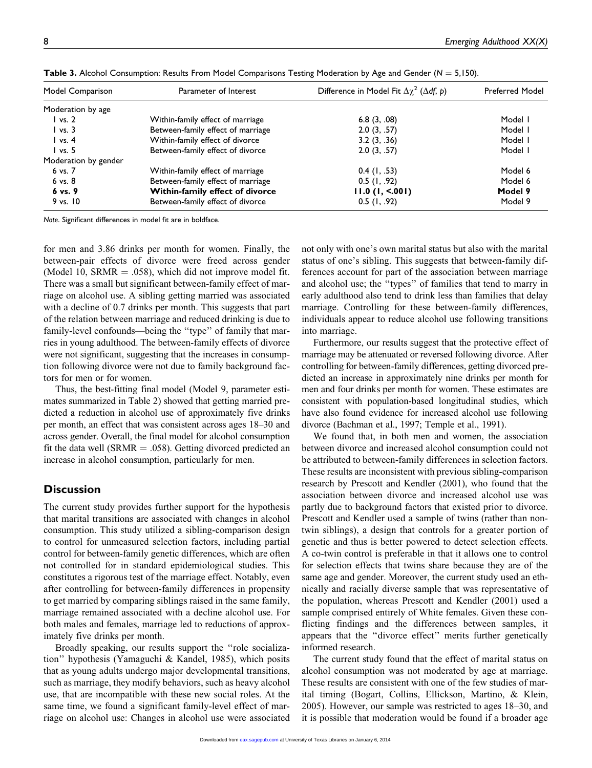| Model Comparison     | Parameter of Interest             | Difference in Model Fit $\Delta \chi^2$ ( $\Delta df$ , p) | <b>Preferred Model</b> |
|----------------------|-----------------------------------|------------------------------------------------------------|------------------------|
| Moderation by age    |                                   |                                                            |                        |
| 1 vs. 2              | Within-family effect of marriage  | 6.8(3, .08)                                                | Model I                |
| $\sqrt{5}$ vs. 3     | Between-family effect of marriage | 2.0(3, .57)                                                | Model I                |
| $\sqrt{1}$ vs. 4     | Within-family effect of divorce   | 3.2(3, .36)                                                | Model I                |
| 1 vs. 5              | Between-family effect of divorce  | 2.0(3, .57)                                                | Model I                |
| Moderation by gender |                                   |                                                            |                        |
| 6 vs. 7              | Within-family effect of marriage  | $0.4$ (1, .53)                                             | Model 6                |
| $6$ vs. $8$          | Between-family effect of marriage | 0.5(1, .92)                                                | Model 6                |
| $6$ vs. $9$          | Within-family effect of divorce   | 11.0(1, 5.001)                                             | Model 9                |
| $9$ vs. $10$         | Between-family effect of divorce  | $0.5$ (1, .92)                                             | Model 9                |

Table 3. Alcohol Consumption: Results From Model Comparisons Testing Moderation by Age and Gender ( $N = 5,150$ ).

Note. Significant differences in model fit are in boldface.

for men and 3.86 drinks per month for women. Finally, the between-pair effects of divorce were freed across gender (Model 10, SRMR  $= .058$ ), which did not improve model fit. There was a small but significant between-family effect of marriage on alcohol use. A sibling getting married was associated with a decline of 0.7 drinks per month. This suggests that part of the relation between marriage and reduced drinking is due to family-level confounds—being the "type" of family that marries in young adulthood. The between-family effects of divorce were not significant, suggesting that the increases in consumption following divorce were not due to family background factors for men or for women.

Thus, the best-fitting final model (Model 9, parameter estimates summarized in Table 2) showed that getting married predicted a reduction in alcohol use of approximately five drinks per month, an effect that was consistent across ages 18–30 and across gender. Overall, the final model for alcohol consumption fit the data well (SRMR  $= .058$ ). Getting divorced predicted an increase in alcohol consumption, particularly for men.

# **Discussion**

The current study provides further support for the hypothesis that marital transitions are associated with changes in alcohol consumption. This study utilized a sibling-comparison design to control for unmeasured selection factors, including partial control for between-family genetic differences, which are often not controlled for in standard epidemiological studies. This constitutes a rigorous test of the marriage effect. Notably, even after controlling for between-family differences in propensity to get married by comparing siblings raised in the same family, marriage remained associated with a decline alcohol use. For both males and females, marriage led to reductions of approximately five drinks per month.

Broadly speaking, our results support the ''role socialization'' hypothesis (Yamaguchi & Kandel, 1985), which posits that as young adults undergo major developmental transitions, such as marriage, they modify behaviors, such as heavy alcohol use, that are incompatible with these new social roles. At the same time, we found a significant family-level effect of marriage on alcohol use: Changes in alcohol use were associated not only with one's own marital status but also with the marital status of one's sibling. This suggests that between-family differences account for part of the association between marriage and alcohol use; the ''types'' of families that tend to marry in early adulthood also tend to drink less than families that delay marriage. Controlling for these between-family differences, individuals appear to reduce alcohol use following transitions into marriage.

Furthermore, our results suggest that the protective effect of marriage may be attenuated or reversed following divorce. After controlling for between-family differences, getting divorced predicted an increase in approximately nine drinks per month for men and four drinks per month for women. These estimates are consistent with population-based longitudinal studies, which have also found evidence for increased alcohol use following divorce (Bachman et al., 1997; Temple et al., 1991).

We found that, in both men and women, the association between divorce and increased alcohol consumption could not be attributed to between-family differences in selection factors. These results are inconsistent with previous sibling-comparison research by Prescott and Kendler (2001), who found that the association between divorce and increased alcohol use was partly due to background factors that existed prior to divorce. Prescott and Kendler used a sample of twins (rather than nontwin siblings), a design that controls for a greater portion of genetic and thus is better powered to detect selection effects. A co-twin control is preferable in that it allows one to control for selection effects that twins share because they are of the same age and gender. Moreover, the current study used an ethnically and racially diverse sample that was representative of the population, whereas Prescott and Kendler (2001) used a sample comprised entirely of White females. Given these conflicting findings and the differences between samples, it appears that the ''divorce effect'' merits further genetically informed research.

The current study found that the effect of marital status on alcohol consumption was not moderated by age at marriage. These results are consistent with one of the few studies of marital timing (Bogart, Collins, Ellickson, Martino, & Klein, 2[005\). Howe](http://eax.sagepub.com/)ver, our sample was restricted to ages 18–30, and it is possible that moderation would be found if a broader age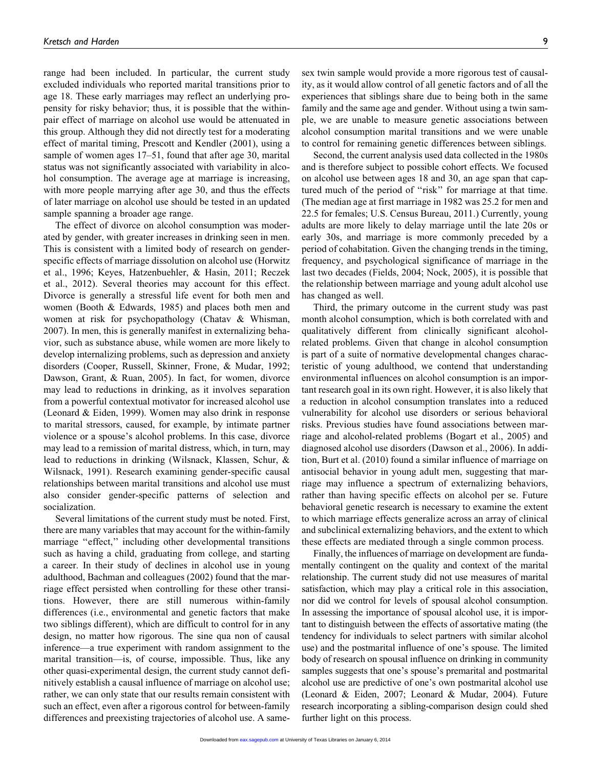range had been included. In particular, the current study excluded individuals who reported marital transitions prior to age 18. These early marriages may reflect an underlying propensity for risky behavior; thus, it is possible that the withinpair effect of marriage on alcohol use would be attenuated in this group. Although they did not directly test for a moderating effect of marital timing, Prescott and Kendler (2001), using a sample of women ages 17–51, found that after age 30, marital status was not significantly associated with variability in alcohol consumption. The average age at marriage is increasing, with more people marrying after age 30, and thus the effects of later marriage on alcohol use should be tested in an updated sample spanning a broader age range.

The effect of divorce on alcohol consumption was moderated by gender, with greater increases in drinking seen in men. This is consistent with a limited body of research on genderspecific effects of marriage dissolution on alcohol use (Horwitz et al., 1996; Keyes, Hatzenbuehler, & Hasin, 2011; Reczek et al., 2012). Several theories may account for this effect. Divorce is generally a stressful life event for both men and women (Booth & Edwards, 1985) and places both men and women at risk for psychopathology (Chatav & Whisman, 2007). In men, this is generally manifest in externalizing behavior, such as substance abuse, while women are more likely to develop internalizing problems, such as depression and anxiety disorders (Cooper, Russell, Skinner, Frone, & Mudar, 1992; Dawson, Grant, & Ruan, 2005). In fact, for women, divorce may lead to reductions in drinking, as it involves separation from a powerful contextual motivator for increased alcohol use (Leonard & Eiden, 1999). Women may also drink in response to marital stressors, caused, for example, by intimate partner violence or a spouse's alcohol problems. In this case, divorce may lead to a remission of marital distress, which, in turn, may lead to reductions in drinking (Wilsnack, Klassen, Schur, & Wilsnack, 1991). Research examining gender-specific causal relationships between marital transitions and alcohol use must also consider gender-specific patterns of selection and socialization.

Several limitations of the current study must be noted. First, there are many variables that may account for the within-family marriage "effect," including other developmental transitions such as having a child, graduating from college, and starting a career. In their study of declines in alcohol use in young adulthood, Bachman and colleagues (2002) found that the marriage effect persisted when controlling for these other transitions. However, there are still numerous within-family differences (i.e., environmental and genetic factors that make two siblings different), which are difficult to control for in any design, no matter how rigorous. The sine qua non of causal inference—a true experiment with random assignment to the marital transition—is, of course, impossible. Thus, like any other quasi-experimental design, the current study cannot definitively establish a causal influence of marriage on alcohol use; rather, we can only state that our results remain consistent with such an effect, even after a rigorous control for between-family differences and preexisting trajectories of alcohol use. A samesex twin sample would provide a more rigorous test of causality, as it would allow control of all genetic factors and of all the experiences that siblings share due to being both in the same family and the same age and gender. Without using a twin sample, we are unable to measure genetic associations between alcohol consumption marital transitions and we were unable to control for remaining genetic differences between siblings.

Second, the current analysis used data collected in the 1980s and is therefore subject to possible cohort effects. We focused on alcohol use between ages 18 and 30, an age span that captured much of the period of "risk" for marriage at that time. (The median age at first marriage in 1982 was 25.2 for men and 22.5 for females; U.S. Census Bureau, 2011.) Currently, young adults are more likely to delay marriage until the late 20s or early 30s, and marriage is more commonly preceded by a period of cohabitation. Given the changing trends in the timing, frequency, and psychological significance of marriage in the last two decades (Fields, 2004; Nock, 2005), it is possible that the relationship between marriage and young adult alcohol use has changed as well.

Third, the primary outcome in the current study was past month alcohol consumption, which is both correlated with and qualitatively different from clinically significant alcoholrelated problems. Given that change in alcohol consumption is part of a suite of normative developmental changes characteristic of young adulthood, we contend that understanding environmental influences on alcohol consumption is an important research goal in its own right. However, it is also likely that a reduction in alcohol consumption translates into a reduced vulnerability for alcohol use disorders or serious behavioral risks. Previous studies have found associations between marriage and alcohol-related problems (Bogart et al., 2005) and diagnosed alcohol use disorders (Dawson et al., 2006). In addition, Burt et al. (2010) found a similar influence of marriage on antisocial behavior in young adult men, suggesting that marriage may influence a spectrum of externalizing behaviors, rather than having specific effects on alcohol per se. Future behavioral genetic research is necessary to examine the extent to which marriage effects generalize across an array of clinical and subclinical externalizing behaviors, and the extent to which these effects are mediated through a single common process.

Finally, the influences of marriage on development are fundamentally contingent on the quality and context of the marital relationship. The current study did not use measures of marital satisfaction, which may play a critical role in this association, nor did we control for levels of spousal alcohol consumption. In assessing the importance of spousal alcohol use, it is important to distinguish between the effects of assortative mating (the tendency for individuals to select partners with similar alcohol use) and the postmarital influence of one's spouse. The limited body of research on spousal influence on drinking in community samples suggests that one's spouse's premarital and postmarital alcohol use are predictive of one's own postmarital alcohol use (Leonard & Eiden, 2007; Leonard & Mudar, 2004). Future r[esearch inco](http://eax.sagepub.com/)rporating a sibling-comparison design could shed further light on this process.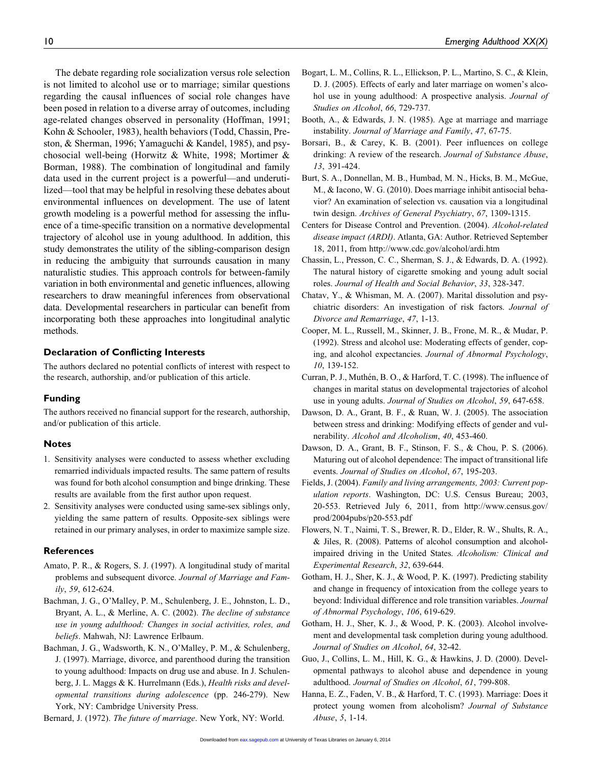The debate regarding role socialization versus role selection is not limited to alcohol use or to marriage; similar questions regarding the causal influences of social role changes have been posed in relation to a diverse array of outcomes, including age-related changes observed in personality (Hoffman, 1991; Kohn & Schooler, 1983), health behaviors (Todd, Chassin, Preston, & Sherman, 1996; Yamaguchi & Kandel, 1985), and psychosocial well-being (Horwitz & White, 1998; Mortimer & Borman, 1988). The combination of longitudinal and family data used in the current project is a powerful—and underutilized—tool that may be helpful in resolving these debates about environmental influences on development. The use of latent growth modeling is a powerful method for assessing the influence of a time-specific transition on a normative developmental trajectory of alcohol use in young adulthood. In addition, this study demonstrates the utility of the sibling-comparison design in reducing the ambiguity that surrounds causation in many naturalistic studies. This approach controls for between-family variation in both environmental and genetic influences, allowing researchers to draw meaningful inferences from observational data. Developmental researchers in particular can benefit from incorporating both these approaches into longitudinal analytic methods.

#### Declaration of Conflicting Interests

The authors declared no potential conflicts of interest with respect to the research, authorship, and/or publication of this article.

#### Funding

The authors received no financial support for the research, authorship, and/or publication of this article.

#### Notes

- 1. Sensitivity analyses were conducted to assess whether excluding remarried individuals impacted results. The same pattern of results was found for both alcohol consumption and binge drinking. These results are available from the first author upon request.
- 2. Sensitivity analyses were conducted using same-sex siblings only, yielding the same pattern of results. Opposite-sex siblings were retained in our primary analyses, in order to maximize sample size.

#### **References**

- Amato, P. R., & Rogers, S. J. (1997). A longitudinal study of marital problems and subsequent divorce. Journal of Marriage and Family, 59, 612-624.
- Bachman, J. G., O'Malley, P. M., Schulenberg, J. E., Johnston, L. D., Bryant, A. L., & Merline, A. C. (2002). The decline of substance use in young adulthood: Changes in social activities, roles, and beliefs. Mahwah, NJ: Lawrence Erlbaum.
- Bachman, J. G., Wadsworth, K. N., O'Malley, P. M., & Schulenberg, J. (1997). Marriage, divorce, and parenthood during the transition to young adulthood: Impacts on drug use and abuse. In J. Schulenberg, J. L. Maggs & K. Hurrelmann (Eds.), Health risks and developmental transitions during adolescence (pp. 246-279). New York, NY: Cambridge University Press.

Bernard, J. (1972). The future of marriage. New York, NY: World.

- Bogart, L. M., Collins, R. L., Ellickson, P. L., Martino, S. C., & Klein, D. J. (2005). Effects of early and later marriage on women's alcohol use in young adulthood: A prospective analysis. Journal of Studies on Alcohol, 66, 729-737.
- Booth, A., & Edwards, J. N. (1985). Age at marriage and marriage instability. Journal of Marriage and Family, 47, 67-75.
- Borsari, B., & Carey, K. B. (2001). Peer influences on college drinking: A review of the research. Journal of Substance Abuse, 13, 391-424.
- Burt, S. A., Donnellan, M. B., Humbad, M. N., Hicks, B. M., McGue, M., & Iacono, W. G. (2010). Does marriage inhibit antisocial behavior? An examination of selection vs. causation via a longitudinal twin design. Archives of General Psychiatry, 67, 1309-1315.
- Centers for Disease Control and Prevention. (2004). Alcohol-related disease impact (ARDI). Atlanta, GA: Author. Retrieved September 18, 2011, from<http://www.cdc.gov/alcohol/ardi.htm>
- Chassin, L., Presson, C. C., Sherman, S. J., & Edwards, D. A. (1992). The natural history of cigarette smoking and young adult social roles. Journal of Health and Social Behavior, 33, 328-347.
- Chatav, Y., & Whisman, M. A. (2007). Marital dissolution and psychiatric disorders: An investigation of risk factors. Journal of Divorce and Remarriage, 47, 1-13.
- Cooper, M. L., Russell, M., Skinner, J. B., Frone, M. R., & Mudar, P. (1992). Stress and alcohol use: Moderating effects of gender, coping, and alcohol expectancies. Journal of Abnormal Psychology, 10, 139-152.
- Curran, P. J., Muthén, B. O., & Harford, T. C. (1998). The influence of changes in marital status on developmental trajectories of alcohol use in young adults. Journal of Studies on Alcohol, 59, 647-658.
- Dawson, D. A., Grant, B. F., & Ruan, W. J. (2005). The association between stress and drinking: Modifying effects of gender and vulnerability. Alcohol and Alcoholism, 40, 453-460.
- Dawson, D. A., Grant, B. F., Stinson, F. S., & Chou, P. S. (2006). Maturing out of alcohol dependence: The impact of transitional life events. Journal of Studies on Alcohol, 67, 195-203.
- Fields, J. (2004). Family and living arrangements, 2003: Current population reports. Washington, DC: U.S. Census Bureau; 2003, 20-553. Retrieved July 6, 2011, from [http://www.census.gov/](http://www.census.gov/prod/2004pubs/p20-553.pdf) [prod/2004pubs/p20-553.pdf](http://www.census.gov/prod/2004pubs/p20-553.pdf)
- Flowers, N. T., Naimi, T. S., Brewer, R. D., Elder, R. W., Shults, R. A., & Jiles, R. (2008). Patterns of alcohol consumption and alcoholimpaired driving in the United States. Alcoholism: Clinical and Experimental Research, 32, 639-644.
- Gotham, H. J., Sher, K. J., & Wood, P. K. (1997). Predicting stability and change in frequency of intoxication from the college years to beyond: Individual difference and role transition variables. Journal of Abnormal Psychology, 106, 619-629.
- Gotham, H. J., Sher, K. J., & Wood, P. K. (2003). Alcohol involvement and developmental task completion during young adulthood. Journal of Studies on Alcohol, 64, 32-42.
- Guo, J., Collins, L. M., Hill, K. G., & Hawkins, J. D. (2000). Developmental pathways to alcohol abuse and dependence in young adulthood. Journal of Studies on Alcohol, 61, 799-808.
- Hanna, E. Z., Faden, V. B., & Harford, T. C. (1993). Marriage: Does it [protect yo](http://eax.sagepub.com/)ung women from alcoholism? Journal of Substance Abuse, 5, 1-14.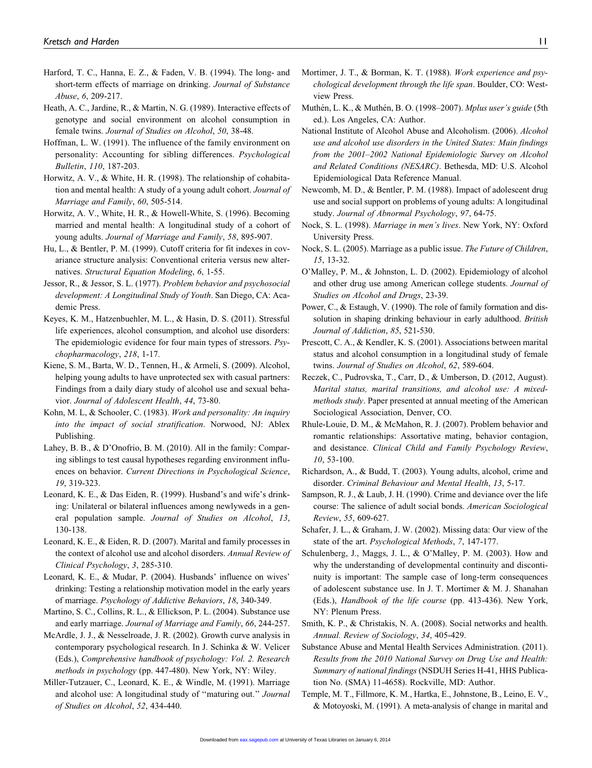- Harford, T. C., Hanna, E. Z., & Faden, V. B. (1994). The long- and short-term effects of marriage on drinking. Journal of Substance Abuse, 6, 209-217.
- Heath, A. C., Jardine, R., & Martin, N. G. (1989). Interactive effects of genotype and social environment on alcohol consumption in female twins. Journal of Studies on Alcohol, 50, 38-48.
- Hoffman, L. W. (1991). The influence of the family environment on personality: Accounting for sibling differences. Psychological Bulletin, 110, 187-203.
- Horwitz, A. V., & White, H. R. (1998). The relationship of cohabitation and mental health: A study of a young adult cohort. Journal of Marriage and Family, 60, 505-514.
- Horwitz, A. V., White, H. R., & Howell-White, S. (1996). Becoming married and mental health: A longitudinal study of a cohort of young adults. Journal of Marriage and Family, 58, 895-907.
- Hu, L., & Bentler, P. M. (1999). Cutoff criteria for fit indexes in covariance structure analysis: Conventional criteria versus new alternatives. Structural Equation Modeling, 6, 1-55.
- Jessor, R., & Jessor, S. L. (1977). Problem behavior and psychosocial development: A Longitudinal Study of Youth. San Diego, CA: Academic Press.
- Keyes, K. M., Hatzenbuehler, M. L., & Hasin, D. S. (2011). Stressful life experiences, alcohol consumption, and alcohol use disorders: The epidemiologic evidence for four main types of stressors. Psychopharmacology, 218, 1-17.
- Kiene, S. M., Barta, W. D., Tennen, H., & Armeli, S. (2009). Alcohol, helping young adults to have unprotected sex with casual partners: Findings from a daily diary study of alcohol use and sexual behavior. Journal of Adolescent Health, 44, 73-80.
- Kohn, M. L, & Schooler, C. (1983). Work and personality: An inquiry into the impact of social stratification. Norwood, NJ: Ablex Publishing.
- Lahey, B. B., & D'Onofrio, B. M. (2010). All in the family: Comparing siblings to test causal hypotheses regarding environment influences on behavior. Current Directions in Psychological Science, 19, 319-323.
- Leonard, K. E., & Das Eiden, R. (1999). Husband's and wife's drinking: Unilateral or bilateral influences among newlyweds in a general population sample. Journal of Studies on Alcohol, 13, 130-138.
- Leonard, K. E., & Eiden, R. D. (2007). Marital and family processes in the context of alcohol use and alcohol disorders. Annual Review of Clinical Psychology, 3, 285-310.
- Leonard, K. E., & Mudar, P. (2004). Husbands' influence on wives' drinking: Testing a relationship motivation model in the early years of marriage. Psychology of Addictive Behaviors, 18, 340-349.
- Martino, S. C., Collins, R. L., & Ellickson, P. L. (2004). Substance use and early marriage. Journal of Marriage and Family, 66, 244-257.
- McArdle, J. J., & Nesselroade, J. R. (2002). Growth curve analysis in contemporary psychological research. In J. Schinka & W. Velicer (Eds.), Comprehensive handbook of psychology: Vol. 2. Research methods in psychology (pp. 447-480). New York, NY: Wiley.
- Miller-Tutzauer, C., Leonard, K. E., & Windle, M. (1991). Marriage and alcohol use: A longitudinal study of ''maturing out.'' Journal of Studies on Alcohol, 52, 434-440.
- Mortimer, J. T., & Borman, K. T. (1988). Work experience and psychological development through the life span. Boulder, CO: Westview Press.
- Muthén, L. K., & Muthén, B. O. (1998–2007). Mplus user's guide (5th ed.). Los Angeles, CA: Author.
- National Institute of Alcohol Abuse and Alcoholism. (2006). Alcohol use and alcohol use disorders in the United States: Main findings from the 2001–2002 National Epidemiologic Survey on Alcohol and Related Conditions (NESARC). Bethesda, MD: U.S. Alcohol Epidemiological Data Reference Manual.
- Newcomb, M. D., & Bentler, P. M. (1988). Impact of adolescent drug use and social support on problems of young adults: A longitudinal study. Journal of Abnormal Psychology, 97, 64-75.
- Nock, S. L. (1998). Marriage in men's lives. New York, NY: Oxford University Press.
- Nock, S. L. (2005). Marriage as a public issue. The Future of Children, 15, 13-32.
- O'Malley, P. M., & Johnston, L. D. (2002). Epidemiology of alcohol and other drug use among American college students. Journal of Studies on Alcohol and Drugs, 23-39.
- Power, C., & Estaugh, V. (1990). The role of family formation and dissolution in shaping drinking behaviour in early adulthood. British Journal of Addiction, 85, 521-530.
- Prescott, C. A., & Kendler, K. S. (2001). Associations between marital status and alcohol consumption in a longitudinal study of female twins. Journal of Studies on Alcohol, 62, 589-604.
- Reczek, C., Pudrovska, T., Carr, D., & Umberson, D. (2012, August). Marital status, marital transitions, and alcohol use: A mixedmethods study. Paper presented at annual meeting of the American Sociological Association, Denver, CO.
- Rhule-Louie, D. M., & McMahon, R. J. (2007). Problem behavior and romantic relationships: Assortative mating, behavior contagion, and desistance. Clinical Child and Family Psychology Review, 10, 53-100.
- Richardson, A., & Budd, T. (2003). Young adults, alcohol, crime and disorder. Criminal Behaviour and Mental Health, 13, 5-17.
- Sampson, R. J., & Laub, J. H. (1990). Crime and deviance over the life course: The salience of adult social bonds. American Sociological Review, 55, 609-627.
- Schafer, J. L., & Graham, J. W. (2002). Missing data: Our view of the state of the art. Psychological Methods, 7, 147-177.
- Schulenberg, J., Maggs, J. L., & O'Malley, P. M. (2003). How and why the understanding of developmental continuity and discontinuity is important: The sample case of long-term consequences of adolescent substance use. In J. T. Mortimer & M. J. Shanahan (Eds.), Handbook of the life course (pp. 413-436). New York, NY: Plenum Press.
- Smith, K. P., & Christakis, N. A. (2008). Social networks and health. Annual. Review of Sociology, 34, 405-429.
- Substance Abuse and Mental Health Services Administration. (2011). Results from the 2010 National Survey on Drug Use and Health: Summary of national findings (NSDUH Series H-41, HHS Publication No. (SMA) 11-4658). Rockville, MD: Author.
- Temple, M. T., Fillmore, K. M., Hartka, E., Johnstone, B., Leino, E. V., [& Motoyos](http://eax.sagepub.com/)ki, M. (1991). A meta-analysis of change in marital and